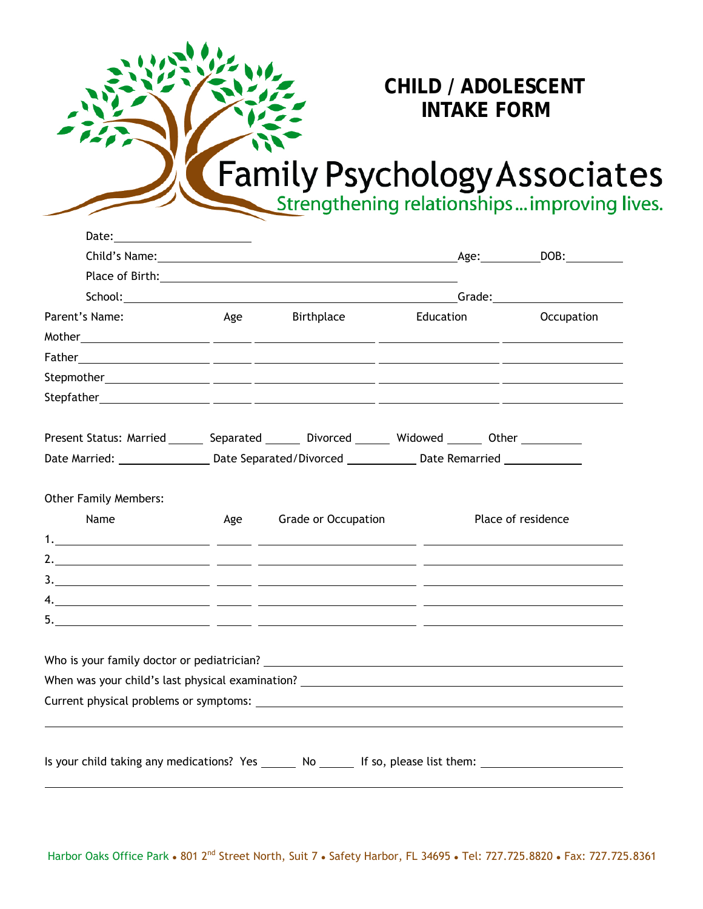## **CHILD / ADOLESCENT INTAKE FORM**

## Family Psychology Associates

| Date: ________________________                                                                                 |     |                                                                                                                                                                                                                                |           |                    |            |  |
|----------------------------------------------------------------------------------------------------------------|-----|--------------------------------------------------------------------------------------------------------------------------------------------------------------------------------------------------------------------------------|-----------|--------------------|------------|--|
|                                                                                                                |     |                                                                                                                                                                                                                                |           |                    |            |  |
|                                                                                                                |     |                                                                                                                                                                                                                                |           |                    |            |  |
|                                                                                                                |     | School: Change of Contract Contract Contract Contract Contract Contract Contract Contract Contract Contract Contract Contract Contract Contract Contract Contract Contract Contract Contract Contract Contract Contract Contra |           |                    |            |  |
| Parent's Name:                                                                                                 | Age | Birthplace                                                                                                                                                                                                                     | Education |                    | Occupation |  |
|                                                                                                                |     |                                                                                                                                                                                                                                |           |                    |            |  |
|                                                                                                                |     |                                                                                                                                                                                                                                |           |                    |            |  |
|                                                                                                                |     |                                                                                                                                                                                                                                |           |                    |            |  |
|                                                                                                                |     |                                                                                                                                                                                                                                |           |                    |            |  |
| Present Status: Married ________ Separated ________ Divorced _______ Widowed _______ Other _________           |     |                                                                                                                                                                                                                                |           |                    |            |  |
|                                                                                                                |     | Date Married: ____________________Date Separated/Divorced ________________Date Remarried _________________                                                                                                                     |           |                    |            |  |
| <b>Other Family Members:</b>                                                                                   |     |                                                                                                                                                                                                                                |           |                    |            |  |
| Name                                                                                                           | Age | <b>Grade or Occupation</b>                                                                                                                                                                                                     |           | Place of residence |            |  |
|                                                                                                                |     |                                                                                                                                                                                                                                |           |                    |            |  |
|                                                                                                                |     |                                                                                                                                                                                                                                |           |                    |            |  |
|                                                                                                                |     |                                                                                                                                                                                                                                |           |                    |            |  |
|                                                                                                                |     |                                                                                                                                                                                                                                |           |                    |            |  |
|                                                                                                                |     |                                                                                                                                                                                                                                |           |                    |            |  |
|                                                                                                                |     |                                                                                                                                                                                                                                |           |                    |            |  |
| When was your child's last physical examination? ________________________________                              |     |                                                                                                                                                                                                                                |           |                    |            |  |
|                                                                                                                |     |                                                                                                                                                                                                                                |           |                    |            |  |
|                                                                                                                |     |                                                                                                                                                                                                                                |           |                    |            |  |
| Is your child taking any medications? Yes _______ No _______ If so, please list them: ________________________ |     |                                                                                                                                                                                                                                |           |                    |            |  |
|                                                                                                                |     |                                                                                                                                                                                                                                |           |                    |            |  |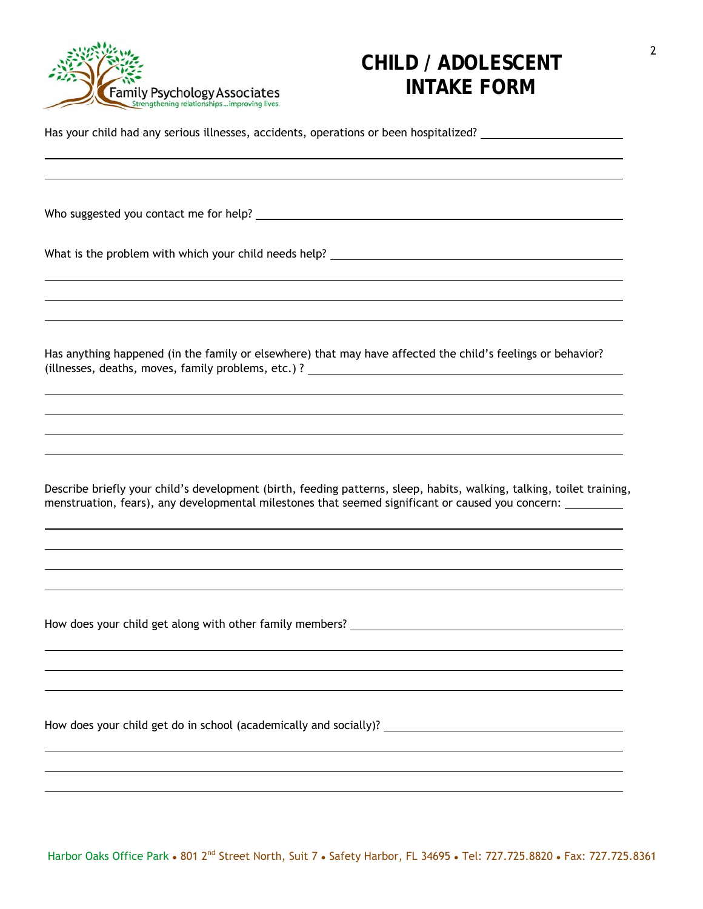

## **CHILD / ADOLESCENT INTAKE FORM**

Has your child had any serious illnesses, accidents, operations or been hospitalized?

Who suggested you contact me for help?

 $\overline{a}$ 

 $\overline{a}$ 

 $\overline{a}$ 

 $\overline{a}$ 

 $\overline{a}$ 

What is the problem with which your child needs help?

Has anything happened (in the family or elsewhere) that may have affected the child's feelings or behavior? (illnesses, deaths, moves, family problems, etc.) ?

Describe briefly your child's development (birth, feeding patterns, sleep, habits, walking, talking, toilet training, menstruation, fears), any developmental milestones that seemed significant or caused you concern:

How does your child get along with other family members? \_\_\_\_\_\_\_\_\_\_\_\_\_\_\_\_\_\_\_\_\_\_\_

How does your child get do in school (academically and socially)?